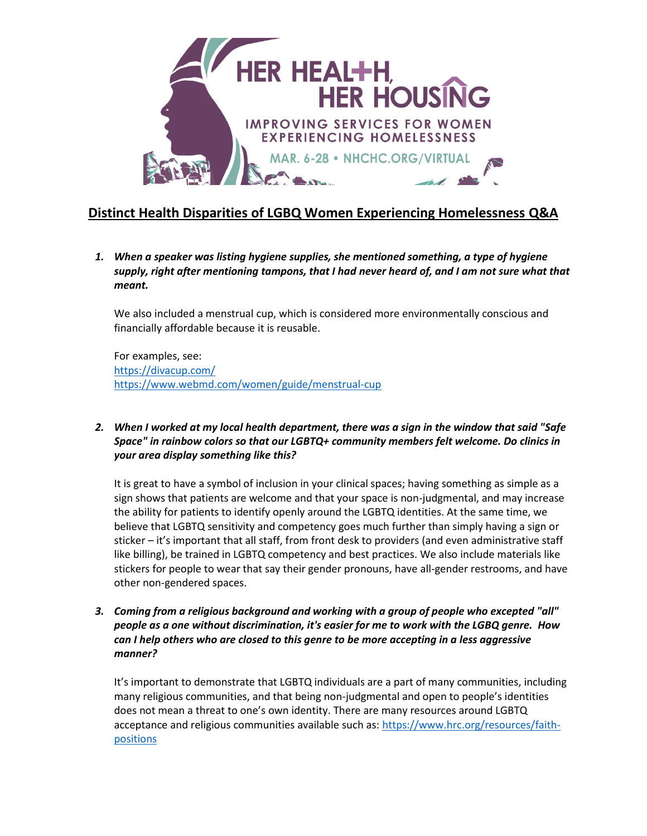

## **Distinct Health Disparities of LGBQ Women Experiencing Homelessness Q&A**

*1. When a speaker was listing hygiene supplies, she mentioned something, a type of hygiene supply, right after mentioning tampons, that I had never heard of, and I am not sure what that meant.*

We also included a menstrual cup, which is considered more environmentally conscious and financially affordable because it is reusable.

For examples, see: <https://divacup.com/> <https://www.webmd.com/women/guide/menstrual-cup>

*2. When I worked at my local health department, there was a sign in the window that said "Safe Space" in rainbow colors so that our LGBTQ+ community members felt welcome. Do clinics in your area display something like this?*

It is great to have a symbol of inclusion in your clinical spaces; having something as simple as a sign shows that patients are welcome and that your space is non-judgmental, and may increase the ability for patients to identify openly around the LGBTQ identities. At the same time, we believe that LGBTQ sensitivity and competency goes much further than simply having a sign or sticker – it's important that all staff, from front desk to providers (and even administrative staff like billing), be trained in LGBTQ competency and best practices. We also include materials like stickers for people to wear that say their gender pronouns, have all-gender restrooms, and have other non-gendered spaces.

*3. Coming from a religious background and working with a group of people who excepted "all" people as a one without discrimination, it's easier for me to work with the LGBQ genre. How can I help others who are closed to this genre to be more accepting in a less aggressive manner?*

It's important to demonstrate that LGBTQ individuals are a part of many communities, including many religious communities, and that being non-judgmental and open to people's identities does not mean a threat to one's own identity. There are many resources around LGBTQ acceptance and religious communities available such as[: https://www.hrc.org/resources/faith](https://www.hrc.org/resources/faith-positions)[positions](https://www.hrc.org/resources/faith-positions)